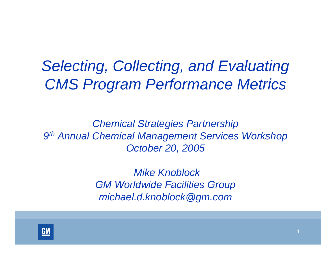# *Selecting, Collecting, and Evaluating CMS Program Performance Metrics*

*Chemical Strategies Partnership 9th Annual Chemical Management Services Workshop October 20, 2005*

> *Mike KnoblockGM Worldwide Facilities Group michael.d.knoblock@gm.com*

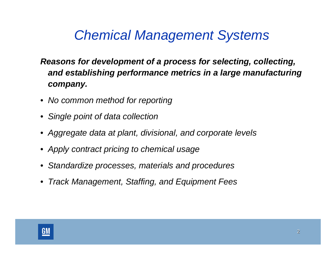# *Chemical Management Systems*

### *Reasons for development of a process for selecting, collecting, and establishing performance metrics in a large manufacturing company.*

- *No common method for reporting*
- *Single point of data collection*
- *Aggregate data at plant, divisional, and corporate levels*
- *Apply contract pricing to chemical usage*
- *Standardize processes, materials and procedures*
- *Track Management, Staffing, and Equipment Fees*

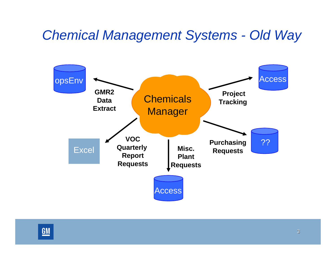### *Chemical Management Systems - Old Way*



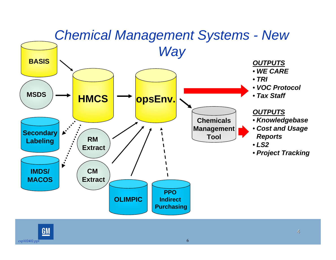

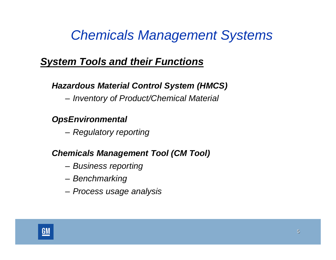### *Chemicals Management Systems*

### *System Tools and their Functions*

#### *Hazardous Material Control System (HMCS)*

*Inventory of Product/Chemical Material*

#### *OpsEnvironmental*

*Regulatory reporting*

### *Chemicals Management Tool (CM Tool)*

- *Business reporting*
- *Benchmarking*
- *Process usage analysis*

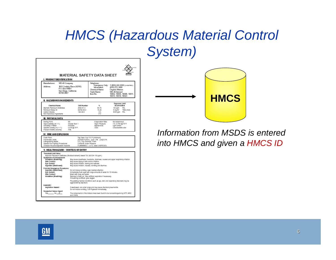# *HMCS (Hazardous Material Control System)*

| I, PRODUCTIDENTIFICATION                                                                                                                |                                                                               | <b>MATERIAL SAFETY DATA SHEET</b>                                                                                                                                                                                                                                |                                                                                                                                         |                                                                                                                                          |  |  |
|-----------------------------------------------------------------------------------------------------------------------------------------|-------------------------------------------------------------------------------|------------------------------------------------------------------------------------------------------------------------------------------------------------------------------------------------------------------------------------------------------------------|-----------------------------------------------------------------------------------------------------------------------------------------|------------------------------------------------------------------------------------------------------------------------------------------|--|--|
| Manufacturer:<br>Address:                                                                                                               | <b>WD.40 Company</b><br>P.O. Box 80607<br>San Diego, California<br>92138.0007 | 1061 Cudahy Place (92110)                                                                                                                                                                                                                                        | Telephone:<br>Emergency Only:<br>Information:<br><b>Chemical Name:</b><br>Trade Name:<br>tem No.                                        | 1 (800) 424-9300 (снемтяес)<br>(619) 276-1400<br>Organic Mixture<br>VID-40 Aerosol<br>10002, 10006, 10008, 10011,<br>10013, 10016, 10023 |  |  |
| IL HAZARDOUSINGREDIENTS                                                                                                                 |                                                                               |                                                                                                                                                                                                                                                                  |                                                                                                                                         |                                                                                                                                          |  |  |
| Chemical Name<br>Alphatic Patroleum Distilates<br>Petroleum Base Oll<br>Carbon Diceida<br>Non-hazardous Ingredients                     |                                                                               | <b>CAS Number</b><br>8052-41-3<br>64742-85-0<br>124-38-9                                                                                                                                                                                                         | 94<br>60.70<br>15.25<br>2.3<br>$*10$                                                                                                    | <b>Exposure Limit</b><br><b>ACGIH/OSHA</b><br>100 ppm<br><b>PEL</b><br>5 mg/M <sup>3</sup><br>TWA (mist)<br>5000 ppm PEL                 |  |  |
| <b>III. PHYSICALDATA</b>                                                                                                                |                                                                               |                                                                                                                                                                                                                                                                  |                                                                                                                                         |                                                                                                                                          |  |  |
| Beiling Point<br>Vapor Density (air = 1's<br>Solutility in Water:<br>Specific Gravity $(H, 0 = 1)$ :<br>Percent Volatile (volume):      |                                                                               | NA<br>Greater than 1<br>Insolutile<br>0.816 @ 70°F<br>70%                                                                                                                                                                                                        | Evaporation Rate:<br>Vapor Prassure:<br>Ariogenamos:<br>Odor:                                                                           | Not determined<br>110 ±5 PSI @ 70°F<br><b>Light ambar</b><br>Characteristic odor                                                         |  |  |
| IV. FIRE AND EXPLOSION                                                                                                                  |                                                                               |                                                                                                                                                                                                                                                                  |                                                                                                                                         |                                                                                                                                          |  |  |
| Flash Point:<br>Flammable Limits:<br>Extinguishing Media:<br>Special Fire Fighting Procedures:<br>Unusual Fire and Explosion Hazards:   |                                                                               | Contants Under Prassure                                                                                                                                                                                                                                          | Tag Open Cup 110°F (minimum)<br>(Solvant Porton) [Lan] 1.0% [Úal] 6.0%.<br>CO, Dry Chamical, Foam<br>FLAMMABLE - U.F.C. lavel 3 AEROSOL |                                                                                                                                          |  |  |
|                                                                                                                                         |                                                                               | V. HEALTH HAZARD / ROUTE(S) OF ENTRY                                                                                                                                                                                                                             |                                                                                                                                         |                                                                                                                                          |  |  |
| Threshold Limit Value<br>Symptoms of Overexposure<br>İnhalatlon (Breathing):<br>Skin Contact:<br>Eve Contact:<br>Ingestion (Swallowed): |                                                                               | Aliphate Petroleum Distillates (Stoddard selvent) inwest TLV (ACGIH 100 ppm.)<br>May eause drying of skin and/or initation.<br>May eause inflation, tearing and redness.<br>May cause initation, nausea, vomiting and diamhea.                                   |                                                                                                                                         | May cause snesthesia, headache, dizziness, nausea and upper respiratory inflation.                                                       |  |  |
| First Aid Emergency Procedures<br>Ingestion (Swallowed):<br>Eve Contact:<br>Skin Contact:<br>Inhalation (Breathing):                    |                                                                               | Do not induce verniting, seek medical attention.<br>immediately flush eyes with large amounts of water for 15 minutes.<br>Wash with soap and water.<br>Remove to thesh air. Give artificial respiration if necessary.<br>If breathing is difficult, give cxygen. |                                                                                                                                         |                                                                                                                                          |  |  |
|                                                                                                                                         |                                                                               | aggravated by exposure.                                                                                                                                                                                                                                          |                                                                                                                                         | Pre-axisting madical conditions such as eye, skin and respiratory disorders may be                                                       |  |  |
| DANGER!<br>Aspiration Hazard:                                                                                                           |                                                                               | Do not induce verniting. Call Physician immediately.                                                                                                                                                                                                             | If swallowed, can enter lungs and may cause chemical pneumonitis.                                                                       |                                                                                                                                          |  |  |
| <b>Suspected Cancer Agent</b><br>Yes No. X                                                                                              |                                                                               | and OSHA                                                                                                                                                                                                                                                         |                                                                                                                                         | The components in this mixture have been found to be noncercinogenic by NTP, IARC                                                        |  |  |



*Information from MSDS is entered into HMCS and given a HMCS ID*

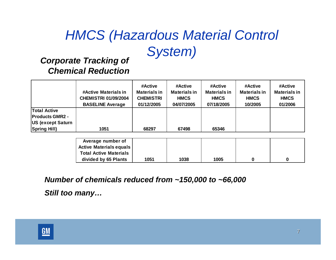# *HMCS (Hazardous Material Control System) Corporate Tracking of*

# *Chemical Reduction*

|                                                | #Active Materials in<br><b>CHEMISTRI 01/09/2004</b><br><b>BASELINE Average</b> | #Active<br><b>Materials in</b><br><b>CHEMISTRI</b><br>01/12/2005 | #Active<br><b>Materials in</b><br><b>HMCS</b><br>04/07/2005 | #Active<br><b>Materials in</b><br><b>HMCS</b><br>07/18/2005 | #Active<br><b>Materials in</b><br><b>HMCS</b><br>10/2005 | #Active<br><b>Materials in</b><br><b>HMCS</b><br>01/2006 |
|------------------------------------------------|--------------------------------------------------------------------------------|------------------------------------------------------------------|-------------------------------------------------------------|-------------------------------------------------------------|----------------------------------------------------------|----------------------------------------------------------|
| <b>Total Active</b><br><b>IProducts GMR2 -</b> |                                                                                |                                                                  |                                                             |                                                             |                                                          |                                                          |
| <b>US (except Saturn</b>                       |                                                                                |                                                                  |                                                             |                                                             |                                                          |                                                          |
| <b>Spring Hill)</b>                            | 1051                                                                           | 68297                                                            | 67498                                                       | 65346                                                       |                                                          |                                                          |

| Average number of                |      |      |      |  |
|----------------------------------|------|------|------|--|
| <b>Active Materials equals  </b> |      |      |      |  |
| <b>Total Active Materials</b>    |      |      |      |  |
| divided by 65 Plants             | 1051 | 1038 | 1005 |  |

*Number of chemicals reduced from ~150,000 to ~66,000*

*Still too many…*

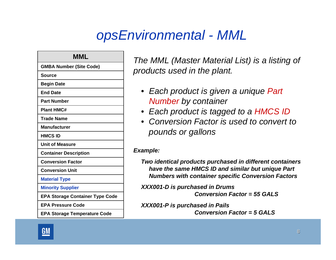### *opsEnvironmental - MML*

| MML                                    |
|----------------------------------------|
| <b>GMBA Number (Site Code)</b>         |
| <b>Source</b>                          |
| <b>Begin Date</b>                      |
| <b>End Date</b>                        |
| <b>Part Number</b>                     |
| <b>Plant HMC#</b>                      |
| Trade Name                             |
| <b>Manufacturer</b>                    |
| <b>HMCS ID</b>                         |
| <b>Unit of Measure</b>                 |
| <b>Container Description</b>           |
| <b>Conversion Factor</b>               |
| <b>Conversion Unit</b>                 |
| <b>Material Type</b>                   |
| <b>Minority Supplier</b>               |
| <b>EPA Storage Container Type Code</b> |
| <b>EPA Pressure Code</b>               |
| <b>EPA Storage Temperature Code</b>    |

*The MML (Master Material List) is a listing of products used in the plant.*

- *Each product is given a unique Part Number by container*
- *Each product is tagged to a HMCS ID*
- *Conversion Factor is used to convert to pounds or gallons*

#### *Example:*

*Two identical products purchased in different containers have the same HMCS ID and similar but unique Part Numbers with container specific Conversion Factors*

*XXX001-D is purchased in Drums*

*Conversion Factor = 55 GALS*

*XXX001-P is purchased in Pails Conversion Factor = 5 GALS*

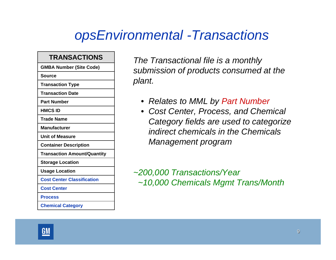### *opsEnvironmental -Transactions*

#### **TRANSACTIONS**

**GMBA Number (Site Code)**

**Source**

**Transaction Type**

**Transaction Date**

**Part Number** 

**HMCS ID**

**Trade Name**

**Manufacturer**

**Unit of Measure**

**Container Description**

**Transaction Amount/Quantity**

**Storage Location** 

**Usage Location** 

**Cost Center Classification**

**Cost Center**

**Process**

**Chemical Category**

*The Transactional file is a monthly submission of products consumed at the plant.*

- *Relates to MML by Part Number*
- *Cost Center, Process, and Chemical Category fields are used to categorize indirect chemicals in the Chemicals Management program*

*~200,000 Transactions/Year ~10,000 Chemicals Mgmt Trans/Month*

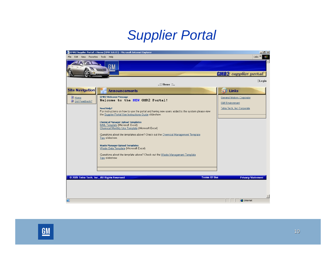### *Supplier Portal*

|                                          | GMR2 Supplier Portal > Home (DNN 3.0.13) - Microsoft Internet Explorer                                                                                                                                                                                                                                                                                                                                                                                                                                                                                                                                                                                                                                                                           | $-10$ $\times$                                                                                                         |
|------------------------------------------|--------------------------------------------------------------------------------------------------------------------------------------------------------------------------------------------------------------------------------------------------------------------------------------------------------------------------------------------------------------------------------------------------------------------------------------------------------------------------------------------------------------------------------------------------------------------------------------------------------------------------------------------------------------------------------------------------------------------------------------------------|------------------------------------------------------------------------------------------------------------------------|
| Edit View Favorites Tools Help<br>File   |                                                                                                                                                                                                                                                                                                                                                                                                                                                                                                                                                                                                                                                                                                                                                  | Links $\gg$<br>棚                                                                                                       |
|                                          | J M                                                                                                                                                                                                                                                                                                                                                                                                                                                                                                                                                                                                                                                                                                                                              | <b>GMR2</b> supplier portal                                                                                            |
|                                          | : Home ::                                                                                                                                                                                                                                                                                                                                                                                                                                                                                                                                                                                                                                                                                                                                        | Login                                                                                                                  |
| <b>Site Navigation</b>                   | <b>Announcements</b>                                                                                                                                                                                                                                                                                                                                                                                                                                                                                                                                                                                                                                                                                                                             | 63 Links                                                                                                               |
| <u>目 Home</u><br><u> ■ Got Feedback?</u> | <b>GMR2 Welcome Message</b><br>Welcome to the NEW GMR2 Portal!<br><b>Need Help?</b><br>For instructions on how to use the portal and having new users added to the system please view<br>the Supplier Portal Use Instructions Guide slideshow.<br><b>Chemical Manager Upload Templates</b><br>MML Template (Microsoft Excel)<br>Chemical Monthly Use Template (Microsoft Excel)<br>Questions about the templates above? Check out the Chemical Management Template<br>Tips slideshow.<br><b>Waste Manager Upload Templates</b><br>Waste Data Template (Microsoft Excel)<br>Questions about the template above? Check out the Waste Management Template<br>Tips slideshow.<br><b>Terms Of Use</b><br>© 2005 Tetra Tech, Inc., All Rights Reserved | <b>General Motors Corporate</b><br><b>GM Environment</b><br>Tetra Tech, Inc Corporate<br><b>Privacy Statement</b><br>ᆋ |
| €                                        |                                                                                                                                                                                                                                                                                                                                                                                                                                                                                                                                                                                                                                                                                                                                                  | <b>O</b> Internet                                                                                                      |

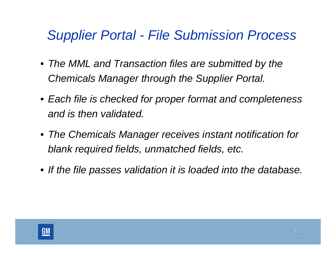### *Supplier Portal - File Submission Process*

- *The MML and Transaction files are submitted by the Chemicals Manager through the Supplier Portal.*
- *Each file is checked for proper format and completeness and is then validated.*
- *The Chemicals Manager receives instant notification for blank required fields, unmatched fields, etc.*
- *If the file passes validation it is loaded into the database.*

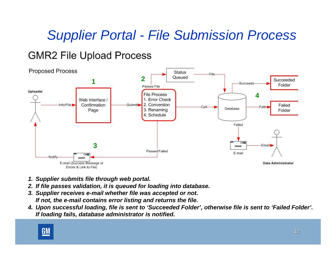# *Supplier Portal - File Submission Process*

### **GMR2 File Upload Process**



- *1. Supplier submits file through web portal.*
- *2. If file passes validation, it is queued for loading into database.*
- *3. Supplier receives e-mail whether file was accepted or not. If not, the e-mail contains error listing and returns the file.*
- *4. Upon successful loading, file is sent to 'Succeeded Folder', otherwise file is sent to 'Failed Folder'. If loading fails, database administrator is notified.*

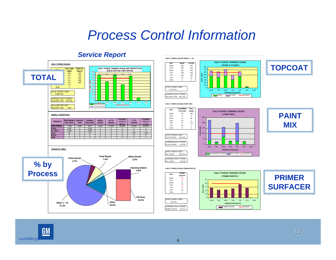### *Process Control Information*

SOLVENT USE 425 GAL **DAILY PURGE USAGE PAINT MIX:**

**DAY**

TUE

THU

FRI

SAT

**SUN** 

#### *Service Report*









### **PAINT MIX**

j.  $\overline{\phantom{0}}$  $\overline{\phantom{0}}$ ÷  $\overline{\phantom{0}}$  $\overline{\phantom{0}}$  $\overline{\phantom{0}}$ 

**DAILY PURGE USAGE PRIME BOOTH:**





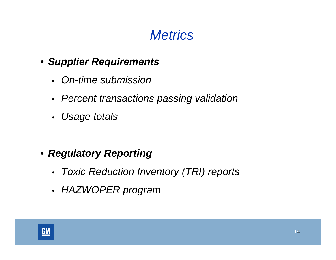

- *Supplier Requirements*
	- *On-time submission*
	- *Percent transactions passing validation*
	- *Usage totals*

- *Regulatory Reporting*
	- •*Toxic Reduction Inventory (TRI) reports*
	- •*HAZWOPER program*

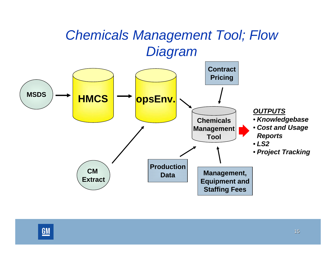

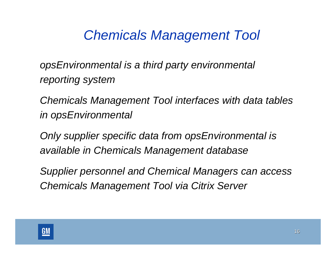*opsEnvironmental is a third party environmental reporting system* 

*Chemicals Management Tool interfaces with data tables in opsEnvironmental* 

*Only supplier specific data from opsEnvironmental is available in Chemicals Management database*

*Supplier personnel and Chemical Managers can access Chemicals Management Tool via Citrix Server*

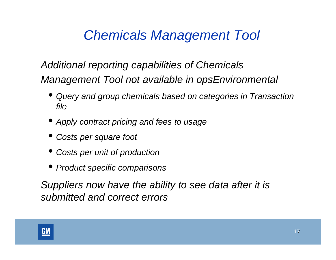### *Additional reporting capabilities of Chemicals Management Tool not available in opsEnvironmental*

- • *Query and group chemicals based on categories in Transaction file*
- *Apply contract pricing and fees to usage*
- *Costs per square foot*
- *Costs per unit of production*
- *Product specific comparisons*

*Suppliers now have the ability to see data after it is submitted and correct errors*

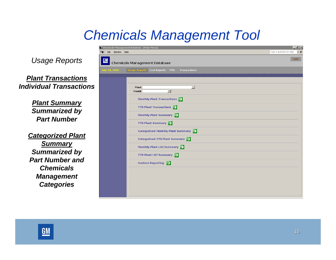*Usage Reports*

*Plant TransactionsIndividual Transactions*

> *Plant Summary Summarized by Part Number*

*Categorized Plant Summary Summarized by Part Number andChemicals Management Categories*

|                               | .<br>Chemicals Management Database - [Main Menu]                       | $-10x$                          |
|-------------------------------|------------------------------------------------------------------------|---------------------------------|
| $\bullet$<br>Eile Window Help |                                                                        | Type a question for help<br>- 5 |
| <b>GM</b>                     | Chemicals Management Database                                          | Exit                            |
| July 18, 2005                 | <b>Usage Reports</b> Cost Reports<br><b>MML</b><br><b>Transactions</b> |                                 |
|                               |                                                                        |                                 |
|                               |                                                                        |                                 |
|                               | Plant<br>$\blacksquare$<br>$\cdot$<br>Month                            |                                 |
|                               | Monthly Plant Transactions                                             |                                 |
|                               | <b>YTD Plant Transactions</b>                                          |                                 |
|                               | Monthly Plant Summary                                                  |                                 |
|                               | YTD Plant Summary                                                      |                                 |
|                               | Categorized Monthly Plant Summary $\rightarrow$                        |                                 |
|                               | Categorized YTD Plant Summary $\rightarrow$                            |                                 |
|                               | Monthly Plant LS2 Summary                                              |                                 |
|                               | YTD Plant LS2 Summary                                                  |                                 |
|                               | <b>Custom Reporting</b> $\rightarrow$                                  |                                 |
|                               |                                                                        |                                 |
|                               |                                                                        |                                 |
|                               |                                                                        |                                 |
|                               |                                                                        |                                 |
|                               |                                                                        |                                 |

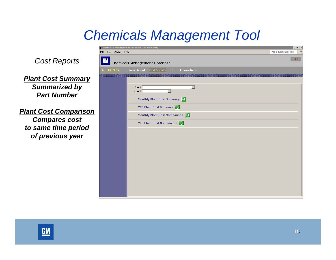emicals Management Database - [Main Menu] Type a question for help  $\overline{\bullet}$   $\overline{\bullet}$ File Window Help  $\mathbf{R}^2$ *Cost Reports* Exit <u>giv</u> **Chemicals Management Database Usage Reports** Cost Reports **Transactions** *Plant Cost Summary Summarized by*   $\overline{\phantom{a}}$ Plant  $\overline{\cdot}$ Month *Part Number*Monthly Plant Cost Summary **YTD Plant Cost Summary**  $\rightarrow$ *Plant Cost Comparison* Monthly Plant Cost Comparison *Compares cost*  **YTD Plant Cost Comparison** *to same time period of previous year*

 $|.|B| \times$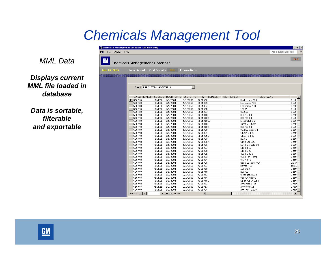#### *MML Data*

#### *Displays current MML file loaded in database*

*Data is sortable, filterable and exportable*

| Window Help<br>File  | The Chemicals Management Database - [Main Menu] |                                                                                                             |                     |                        |            |                  | . 18 x<br>- 5<br>Type a question for help |
|----------------------|-------------------------------------------------|-------------------------------------------------------------------------------------------------------------|---------------------|------------------------|------------|------------------|-------------------------------------------|
| $GM$                 |                                                 |                                                                                                             |                     |                        |            |                  | <b>Exit</b>                               |
|                      | Chemicals Management Database                   |                                                                                                             |                     |                        |            |                  |                                           |
|                      | <b>Usage Reports</b> Cost Reports               | <b>MML</b>                                                                                                  | <b>Transactions</b> |                        |            |                  |                                           |
| <b>July 18, 2005</b> |                                                 |                                                                                                             |                     |                        |            |                  |                                           |
|                      |                                                 |                                                                                                             |                     |                        |            |                  |                                           |
|                      |                                                 |                                                                                                             |                     |                        |            |                  |                                           |
|                      |                                                 |                                                                                                             |                     |                        |            |                  |                                           |
|                      |                                                 | <b>Plant ARLINGTON ASSEMBLY</b>                                                                             | $\mathbf{r}$        |                        |            |                  |                                           |
|                      |                                                 |                                                                                                             |                     |                        |            |                  |                                           |
|                      |                                                 |                                                                                                             |                     |                        |            |                  |                                           |
|                      |                                                 | GMBA_NUMBER SOURCE   BEGIN_DATE                                                                             | END DATE            | PART NUMBER            | HMC NUMBER | TRADE NAME       |                                           |
|                      | 550748                                          | 1/1/2004<br>HENKEL                                                                                          | 1/1/2050            | 7201002                |            | Hydrasafe 200    | Castr                                     |
|                      | 550748                                          | HENKEL<br>1/1/2004                                                                                          | 1/1/2050            | 7201003                |            | Longtime PDO     | Castr                                     |
|                      | 550748                                          | 1/1/2004<br>HENKEL                                                                                          | 1/1/2050            | 7201004C               |            | Longtime PD1     | Castr                                     |
|                      | 550748                                          | HENKEL<br>1/1/2004                                                                                          | 1/1/2050            | 7201005                |            | 170W             | Castr                                     |
|                      | 550748                                          | 1/1/2004<br><b>HENKEL</b>                                                                                   | 1/1/2050            | 7201007                |            | 30/100           | Castr                                     |
|                      | 550748                                          | 1/1/2004<br>HENKEL                                                                                          | 1/1/2050            | 7201018                |            | 860/220-1        | Castr                                     |
|                      | 550748                                          | 1/1/2004<br>HENKEL                                                                                          | 1/1/2050            | 7201018C               |            | 860/220-1        | Castr                                     |
|                      | 550748                                          | <b>HENKEL</b><br>1/1/2004                                                                                   | 1/1/2050            | 7201018EL              |            | Electrolubers    | Castri                                    |
|                      | 550748                                          | 1/1/2004<br>HENKEL                                                                                          | 1/1/2050            | 7201018JL              |            | Jumbo Lubers     | Castr                                     |
|                      | 550748                                          | 1/1/2004<br><b>HENKEL</b>                                                                                   | 1/1/2050            | 7201018K               |            | 860/220-1        | Castr                                     |
|                      | 550748                                          | 1/1/2004<br>HENKEL                                                                                          | 1/1/2050            | 7201020                |            | 90/220 gear oil  | Castr                                     |
|                      | 550748                                          | 1/1/2004<br>HENKEL                                                                                          | 1/1/2050            | 7201021                |            | Chain Oil 22     | Castri                                    |
|                      | 550748                                          | 1/1/2004<br>HENKEL                                                                                          | 1/1/2050            | 7201021C               |            | Chain Oil 22     | Castr                                     |
|                      | 550748                                          | 1/1/2004<br>HENKEL                                                                                          | 1/1/2050            | 7201023                |            | 20/68            | Castr                                     |
|                      | 550748                                          | 1/1/2004<br>HENKEL                                                                                          | 1/1/2050            | 7201025P               |            | Optigear 320     | Castri                                    |
|                      | 550748                                          | HENKEL<br>1/1/2004                                                                                          | 1/1/2050            | 7201026                |            | 1040 Spindle Oil | Castr                                     |
|                      | 550748                                          | 1/1/2004<br>HENKEL                                                                                          | 1/1/2050            | 7201027                |            | 1100/150         | Castr                                     |
|                      | 550748                                          | HENKEL<br>1/1/2004                                                                                          | 1/1/2050            | 7201028                |            | 1100/220         | Castr                                     |
|                      | 550748                                          | 1/1/2004<br>HENKEL                                                                                          | 1/1/2050            | 7201031                |            | 4020/220-2       | Castri                                    |
|                      | 550748                                          | 1/1/2004<br>HENKEL                                                                                          | 1/1/2050            | 7201033                |            | 930 High Temp    | Castri                                    |
|                      | 550748                                          | 1/1/2004<br>HENKEL                                                                                          | 1/1/2050            | 7201034T               |            | 943AW46          | Castr                                     |
|                      | 550748                                          | 1/1/2004<br><b>HENKEL</b>                                                                                   | 1/1/2050            | 7201036                |            | Ucon LB-300XY26  | Union                                     |
|                      | 550748                                          | 1/1/2004<br>HENKEL                                                                                          | 1/1/2050            | 7201037                |            | Royco 756        | Tulco                                     |
|                      | 550748                                          | HENKEL<br>1/1/2004                                                                                          | 1/1/2050            | 7201038                |            | 1066/68          | Castri                                    |
|                      | 550748                                          | 1/1/2004<br>HENKEL                                                                                          | 1/1/2050            | 7201040                |            | 290/22           | Castr                                     |
|                      | 550748                                          | <b>HENKEL</b><br>1/1/2004                                                                                   | 1/1/2050            | 7201041                |            | Viscogen KL23    | Castr                                     |
|                      | 550748                                          | 1/1/2004<br>HENKEL                                                                                          | 1/1/2050            | 7201044                |            | 936 SF Heavy     | Castr                                     |
|                      | 550748                                          | HENKEL<br>1/1/2004                                                                                          | 1/1/2050            | 7201046C               |            | Open Gear Lube   | Castr                                     |
|                      | 550748                                          | 1/1/2004<br>HENKEL                                                                                          | 1/1/2050            | 7201051                |            | Amercor 8750     | Drew                                      |
|                      | 550748                                          | 1/1/2004<br>HENKEL                                                                                          | 1/1/2050            | 7201053                |            | Amersite 11      | Drew                                      |
|                      | 550748                                          | 1/1/2004<br><b>HENKEL</b>                                                                                   | 1/1/2050            | 7201054                |            | Amertrol 1038    | Drew                                      |
|                      | Record: 14 4                                    | $\overline{1}$ $\rightarrow$ $\overline{1}$ $\rightarrow$ $\overline{1}$ $\rightarrow$ $\overline{1}$ of 95 |                     | $\left  \cdot \right $ |            |                  | ▶                                         |

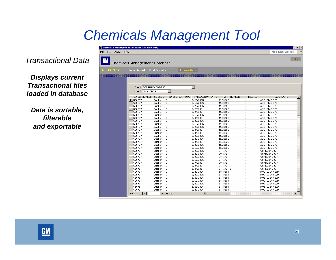*Transactional Data*

*Displays current Transactional files loaded in database*

*Data is sortable, filterable and exportable*

|              |                            |                 | <b>Chemicals Management Database</b> |                                   |                  |             |          |               |
|--------------|----------------------------|-----------------|--------------------------------------|-----------------------------------|------------------|-------------|----------|---------------|
|              |                            |                 |                                      |                                   |                  |             |          |               |
| ily 18, 2005 | Usage Reports Cost Reports |                 |                                      | <b>Transactions</b><br><b>MML</b> |                  |             |          |               |
|              |                            |                 |                                      |                                   |                  |             |          |               |
|              |                            |                 |                                      |                                   |                  |             |          |               |
|              |                            |                 |                                      |                                   |                  |             |          |               |
|              |                            |                 |                                      |                                   |                  |             |          |               |
|              |                            |                 | <b>Plant ROMULUS ENGINE</b>          |                                   | $\bullet$        |             |          |               |
|              |                            | Month May, 2005 |                                      | $\cdot$                           |                  |             |          |               |
|              |                            | GMBA_NUMBER     | SOURCE                               | TRANSACTION_TYPE                  | TRANSACTION_DATE | PART_NUMBER | HMCS_ID  | TRADE_NAME    |
|              | 550757<br>▸                |                 | Quaker                               | D                                 | 5/22/2005        | 11SR626     | $\cdots$ | ADDITIVE CP2  |
|              | 550757                     |                 | Quaker                               | D                                 | 5/15/2005        | 11SR626     | $\cdots$ | ADDITIVE CP2  |
|              | 550757                     |                 | Quaker                               | D                                 | 5/22/2005        | 11SR626     | $\cdots$ | ADDITIVE CP2  |
|              | 550757                     |                 | Quaker                               | D                                 | 5/2/2005         | 11SR626     | $\cdots$ | ADDITIVE CP2  |
|              | 550757                     |                 | Quaker                               | D                                 | 5/2/2005         | 11SR626     | $\sim$   | ADDITIVE CP2  |
|              | 550757                     |                 | Quaker                               | D                                 | 5/15/2005        | 11SR626     | $\cdots$ | ADDITIVE CP2  |
|              | 550757                     |                 | Quaker                               | D                                 | 5/8/2005         | 11SR626     | $\cdots$ | ADDITIVE CP2  |
|              | 550757                     |                 | Quaker                               | D                                 | 5/22/2005        | 11SR626     | $\sim$   | ADDITIVE CP2  |
|              | 550757                     |                 | Quaker                               | D                                 | 5/15/2005        | 11SR626     | $\sim$   | ADDITIVE CP2  |
|              | 550757                     |                 | Quaker                               | D                                 | 5/25/2005        | 11SR626     | $\cdots$ | ADDITIVE CP2  |
|              | 550757                     |                 | Quaker                               | D                                 | 5/2/2005         | 11SR626     | $\cdots$ | ADDITIVE CP2  |
|              | 550757                     |                 | Quaker                               | D                                 | 5/8/2005         | 11SR626     | $\cdots$ | ADDITIVE CP2  |
|              | 550757                     |                 | Quaker                               | D                                 | 5/22/2005        | 11SR626     | $\sim$   | ADDITIVE CP2  |
|              | 550757                     |                 | Quaker                               | D                                 | 5/25/2005        | 11SR626     | $\cdots$ | ADDITIVE CP2  |
|              | 550757                     |                 | Quaker                               | D                                 | 5/8/2005         | 11SR626     | $\cdots$ | ADDITIVE CP2  |
|              | 550757                     |                 | Quaker                               | D                                 | 5/22/2005        | 11SR626     | $\cdots$ | ADDITIVE CP2  |
|              | 550757                     |                 | Quaker                               | D                                 | 5/15/2005        | 11SR626     | $\sim$   | ADDITIVE CP2  |
|              | 550757                     |                 | Quaker                               | D                                 | 5/22/2005        | 2YR172      | $\sim$   | QUAKERAL 377  |
|              | 550757                     |                 | Quaker                               | D                                 | 5/22/2005        | 2YR172      | $\cdots$ | QUAKERAL 377  |
|              | 550757                     |                 | Quaker                               | D                                 | 5/25/2005        | 2YR172      | $\sim$   | QUAKERAL 377  |
|              | 550757                     |                 | Quaker                               | D                                 | 5/15/2005        | 2YR172      | $\sim$   | QUAKERAL 377  |
|              | 550757                     |                 | Ouaker                               | D                                 | 5/8/2005         | 2YR172      | $\cdots$ | QUAKERAL 377  |
|              | 550757                     |                 | Quaker                               | D                                 | 5/2/2005         | 2YR172      | $\cdots$ | QUAKERAL 377  |
|              | 550757                     |                 | Quaker                               | D                                 | 5/2/2005         | 2YR172-TE   | $\cdots$ | QUAKERAL 377  |
|              | 550757                     |                 | Ouaker                               | D                                 | 5/22/2005        | 1YR0164     | $\cdots$ | MOBILGEAR 627 |
|              | 550757                     |                 | Quaker                               | D                                 | 5/25/2005        | 1YR0164     | $\cdots$ | MOBILGEAR 627 |
|              | 550757                     |                 | Quaker                               | D                                 | 5/22/2005        | 1YR0164     | $\cdots$ | MOBILGEAR 627 |
|              | 550757                     |                 | Quaker                               | D                                 | 5/15/2005        | 1YR0164     | $\cdots$ | MOBILGEAR 627 |
|              |                            |                 |                                      |                                   |                  |             |          |               |
|              | 550757                     |                 | Quaker                               | D                                 | 5/22/2005        | 1YR0164     | $\sim$   | MOBILGEAR 627 |

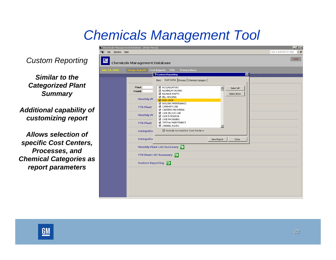ैं Chemicals Management Database - [Main Menu]

*Custom Reporting*

*Similar to the Categorized Plant Summary* 

*Additional capability of customizing report*

*Allows selection of specific Cost Centers, Processes, and Chemical Categories as report parameters*

| ly 18, 2005 | <b>Usage Reports</b> Cost Reports<br>Plant<br>Month<br><b>Monthly Pl</b><br><b>YTD Plant</b><br><b>Monthly Pl</b><br><b>YTD Plant</b><br>Categorize | <b>MML</b><br><b>Transactions</b><br>Custom Reporting<br>Cost Center   Process   Chemical Category<br>Plant<br>■ ACCUMULATORS<br>☑ ALUMINUM CASTING<br>BALANCE SHAFTS<br>■ BELL HOUSING<br><b>EZ BODY SHOP</b><br><b>BUILDING MAINTENANCE</b><br>CAMSHAFT LINE<br>☑ CARRIERS MACHINING<br>$\boxtimes$ CASE (BLOCK) LINE<br><b>Ø</b> CASE EXTENSION<br>CASE MACHINING<br>☑ CENTRAL MAINTENANCE<br><b>Z</b> CHANNEL PLATES<br>☑ Include Unmatched Cost Centers | $\overline{\mathbf{x}}$<br>$\blacktriangle$<br>Select All<br>Select None |  |
|-------------|-----------------------------------------------------------------------------------------------------------------------------------------------------|--------------------------------------------------------------------------------------------------------------------------------------------------------------------------------------------------------------------------------------------------------------------------------------------------------------------------------------------------------------------------------------------------------------------------------------------------------------|--------------------------------------------------------------------------|--|
|             | Categorize                                                                                                                                          | Monthly Plant LS2 Summary                                                                                                                                                                                                                                                                                                                                                                                                                                    | Close<br>View Report                                                     |  |
|             | <b>Custom Reporting</b>                                                                                                                             | YTD Plant LS2 Summary                                                                                                                                                                                                                                                                                                                                                                                                                                        |                                                                          |  |
|             |                                                                                                                                                     |                                                                                                                                                                                                                                                                                                                                                                                                                                                              |                                                                          |  |



 $|I - |B| \times |$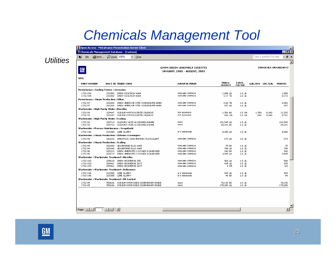| $\underline{\mathsf{GM}}$                                              |                  |                                                                              | GMYM ORION ASSEMBLY (550779)<br><b>JANUARY, 2005 - AUGUST, 2005</b> |                         |                                       |                        | <b>CHEMICALS MANAGEMENT</b> |
|------------------------------------------------------------------------|------------------|------------------------------------------------------------------------------|---------------------------------------------------------------------|-------------------------|---------------------------------------|------------------------|-----------------------------|
| <b>WFG</b><br><b>PART NUMBER</b>                                       |                  | HMCS ID TRADE NAME                                                           | <b>MANUFACTURER</b>                                                 | TRANS.                  | CONV.                                 | GALLONS LBS/GAL POUNDS |                             |
|                                                                        |                  |                                                                              |                                                                     | <b>AMOUNT</b>           | <b>FACTOR</b>                         |                        |                             |
| <b>Powerhouse : Cooling Towers : Corrosion</b><br>1732-104<br>1732-104 |                  | 331882 DREW DIOLTECH 424A<br>331882 DREW DIOLTECH 424A                       | A SHLAND CHEMICAL<br><b>ASHLAND CHEMICAL</b>                        | $1.888$ LB<br>$0.17$ TE | $1.0 \text{ L}$<br>$1.0 \, \text{LB}$ |                        |                             |
| Powerhouse : Steam Production : Other                                  |                  |                                                                              |                                                                     |                         |                                       |                        |                             |
| 1732-97<br>1732-97                                                     | 203204<br>203204 | DREW AMERCOR 8750 CONDENSATE AMIN<br>DREW AMERCOR 8750 CONDENSATE AMIN       | <b>ASHLAND CHEMICAL</b><br>ASHLAND CHEMICAL                         | $0.00$ TE<br>437 LB     | $1.0 \text{ L}$<br>$1.0 \text{ L}$    |                        |                             |
| Wastewater: High Purity Water: Biocides                                |                  |                                                                              |                                                                     |                         |                                       |                        |                             |
| 1732-93<br>1732-93                                                     |                  | 329447 SOD JUM HYPOCHLORITE (BLEACH)<br>329447 SOD JUM HYPOCHLORITE (BLEACH) | PVS NOLWOOD<br>PVS NOLWOOD                                          | 1.354 BK<br>686 GA      | 1.0 GA<br>1.0 <sub>GA</sub>           | 1.354<br>686           | 8,340<br>8.340              |
| Wastewater : High Purity Water : Scaling                               |                  |                                                                              |                                                                     |                         |                                       |                        |                             |
| 1732-92<br>1732-92                                                     |                  | 330713 SULFURIC ACID 66 DEGREE BAUME<br>330713 SULFURIC ACID 66 DEGREE BAUME | <b>MAYS</b><br><b>MAYS</b>                                          | 101,545 LB<br>68,601 BK | $1.0 \, \text{LB}$<br>$1.0 \text{ L}$ |                        |                             |
| Wastewater: Process Maintenance: Coagulants                            |                  |                                                                              |                                                                     |                         |                                       |                        |                             |
| 1732-146                                                               |                  | 223380 LIME SLURRY                                                           | W.K.MERRIMAN                                                        | 8,280 LB                | $1.0 \text{ L}$                       |                        |                             |
|                                                                        |                  | Wastewater: Steam Production: Chlorine Scavengers                            |                                                                     |                         |                                       |                        |                             |
| 1732-99                                                                |                  | 342223 DREWFLOC 2300 ANIONIC FLOCCULANT                                      | ASHLAND CHEMICAL                                                    | 673 LB                  | $1.0 \text{ L}$                       |                        |                             |
| Wastewater:Steam Production:Scaling                                    |                  |                                                                              |                                                                     |                         |                                       |                        |                             |
| 1732-94                                                                |                  | 302440 ADVANTAGE PLUS 6445                                                   | ASHLAND CHEMICAL                                                    | 75 BK                   | $1.0 \text{ L}$                       |                        |                             |
| 1732-94<br>1732-96                                                     |                  | 302440 ADVANTAGE PLUS 6445<br>203213 DREW AMERSTTE 2 OXYGEN SCAVENGER        | <b>ASHLAND CHEMICAL</b><br>ASHLAND CHEMICAL                         | 798 LB<br>240 BK        | $1.0 \, \text{LB}$<br>$1.0 \text{ L}$ |                        |                             |
| 1732-96                                                                | 203213           | DREW AMERSTTE 2 OXYGEN SCAVENGER                                             | ASHLAND CHEMICAL                                                    | 3.495 LB                | $1.0 \, \text{LB}$                    |                        |                             |
| Wastewater: Wastewater Treatment: Biocides                             |                  |                                                                              |                                                                     |                         |                                       |                        |                             |
| 1732-102                                                               |                  | 205618 DREW BIOSPERSE 250                                                    | <b>ASHLAND CHEMICAL</b>                                             | 568 LB                  | $1.0 \text{ LB}$                      |                        |                             |
| 1732-103                                                               | 209461           | DREW BIOSPERSE 261T                                                          | A SHLAND CHEMICAL                                                   | 435 LB                  | $1.0 \, \text{LB}$                    |                        |                             |
| 1732-103                                                               | 209461           | DREW BIOSPERSE 261T                                                          | ASHLAND CHEMICAL                                                    | 4 DR                    | $1.0 \text{ L}$                       |                        |                             |
| Wastewater: Wastewater Treatment: Defoamers                            |                  |                                                                              |                                                                     |                         |                                       |                        |                             |
| 1732-146<br>1732-146                                                   | 223380<br>223380 | LIME SLURRY<br>LIME SLURRY                                                   | W.K.MERRIMAN<br>W.K.MERRIMAN                                        | 949 LB<br>94 BK         | $1.0 \text{ L}$<br>$1.0 \, \text{LB}$ |                        |                             |
| Wastewater: Wastewater Treatment: PH Control                           |                  |                                                                              |                                                                     |                         |                                       |                        |                             |
| 1732-45                                                                |                  | 350636 SOD JUM HYDROXIDE (DIAPHRAGM GRADE                                    | <b>MAYS</b>                                                         | 70,130 BK               | $1.0 \text{ L}$                       |                        |                             |
| 1732-45                                                                | 350636           | SOD JUM HYDROKIDE (DIAPHRAGM GRADE                                           | MAYS                                                                | 175,280 LB              | $1.0 \, \text{LB}$                    |                        |                             |

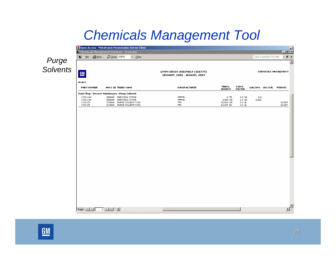|                   |                                                                                                                                                                                                                                                                                                                                                                                                                                                                                                                                                              |                                     | Open Access - MetaFrame Presentation Server Client                                                       |                                                              |                                            |                                                                  |              |                          |                             | $\Box$ |
|-------------------|--------------------------------------------------------------------------------------------------------------------------------------------------------------------------------------------------------------------------------------------------------------------------------------------------------------------------------------------------------------------------------------------------------------------------------------------------------------------------------------------------------------------------------------------------------------|-------------------------------------|----------------------------------------------------------------------------------------------------------|--------------------------------------------------------------|--------------------------------------------|------------------------------------------------------------------|--------------|--------------------------|-----------------------------|--------|
|                   | Chemicals Management Database - [Custom]                                                                                                                                                                                                                                                                                                                                                                                                                                                                                                                     |                                     |                                                                                                          |                                                              |                                            |                                                                  |              |                          | $-10 X $                    |        |
|                   | : Si Eile   A Print   ○ Zoom 100%                                                                                                                                                                                                                                                                                                                                                                                                                                                                                                                            |                                     | $\bullet \mid \underline{\textsf{Close}}$                                                                |                                                              |                                            |                                                                  |              | Type a question for help | · 日 ×                       |        |
|                   |                                                                                                                                                                                                                                                                                                                                                                                                                                                                                                                                                              |                                     |                                                                                                          |                                                              |                                            |                                                                  |              |                          |                             | 트      |
| Purge<br>Solvents | <u>GM</u>                                                                                                                                                                                                                                                                                                                                                                                                                                                                                                                                                    |                                     |                                                                                                          | GMVM ORION ASSEMBLY (550779)<br>JANUARY, 2005 - AUGUST, 2005 |                                            |                                                                  |              |                          | <b>CHEMICALS MANAGEMENT</b> |        |
|                   | <b>PLANT</b><br>PARTNUMBER                                                                                                                                                                                                                                                                                                                                                                                                                                                                                                                                   | HMCS ID TRADE NAME                  |                                                                                                          | <b>MANUFACTURER</b>                                          | TRANS.                                     | CONV.                                                            |              | GALLONS LBS/GAL POUNDS   |                             |        |
|                   |                                                                                                                                                                                                                                                                                                                                                                                                                                                                                                                                                              |                                     |                                                                                                          |                                                              | <b>AMOUNT</b>                              | <b>FACTOR</b>                                                    |              |                          |                             |        |
|                   | Paint Shop: Process Maintenance: Purge Solvents<br>1732-144<br>1732-144<br>1732-29<br>1732-29                                                                                                                                                                                                                                                                                                                                                                                                                                                                |                                     | 350848 PARCOSOL 277WB<br>350848 PARCOSOL 277WB<br>313868 PURGE SOLVENT 6702<br>313868 PURGE SOLVENT 6702 | HENKEL<br>HENKEL<br>PPG<br>PPG                               | 6 TE<br>3.003 GA<br>92.869 GA<br>63.687 BK | 1.0 GA<br>$1.0\,$ GA<br>$1.0 \, \text{LB}$<br>$1.0 \, \text{LB}$ | 6,0<br>3,003 |                          | 92.869<br>63.687            |        |
|                   |                                                                                                                                                                                                                                                                                                                                                                                                                                                                                                                                                              |                                     |                                                                                                          |                                                              |                                            |                                                                  |              |                          |                             |        |
|                   |                                                                                                                                                                                                                                                                                                                                                                                                                                                                                                                                                              |                                     |                                                                                                          |                                                              |                                            |                                                                  |              |                          |                             |        |
|                   |                                                                                                                                                                                                                                                                                                                                                                                                                                                                                                                                                              |                                     |                                                                                                          |                                                              |                                            |                                                                  |              |                          |                             |        |
|                   |                                                                                                                                                                                                                                                                                                                                                                                                                                                                                                                                                              |                                     |                                                                                                          |                                                              |                                            |                                                                  |              |                          |                             |        |
|                   |                                                                                                                                                                                                                                                                                                                                                                                                                                                                                                                                                              |                                     |                                                                                                          |                                                              |                                            |                                                                  |              |                          |                             |        |
|                   |                                                                                                                                                                                                                                                                                                                                                                                                                                                                                                                                                              |                                     |                                                                                                          |                                                              |                                            |                                                                  |              |                          |                             |        |
|                   |                                                                                                                                                                                                                                                                                                                                                                                                                                                                                                                                                              |                                     |                                                                                                          |                                                              |                                            |                                                                  |              |                          |                             |        |
|                   |                                                                                                                                                                                                                                                                                                                                                                                                                                                                                                                                                              |                                     |                                                                                                          |                                                              |                                            |                                                                  |              |                          |                             |        |
|                   |                                                                                                                                                                                                                                                                                                                                                                                                                                                                                                                                                              |                                     |                                                                                                          |                                                              |                                            |                                                                  |              |                          |                             |        |
|                   |                                                                                                                                                                                                                                                                                                                                                                                                                                                                                                                                                              |                                     |                                                                                                          |                                                              |                                            |                                                                  |              |                          |                             |        |
|                   | Page: $H \left( \left. \right. \right. \left. \right. \left. \right. \left. \right. \left. \right. \left. \left. \right. \right. \left. \left. \right. \left. \right. \left. \right. \left. \right. \left. \left. \right. \right. \left. \left. \right. \right. \left. \left. \right. \right. \left. \left. \right. \left. \right. \left. \left. \right. \right. \left. \left. \right. \right. \left. \left. \right. \right. \left. \left. \right. \right. \left. \left. \right. \left. \right. \left. \right. \left. \right. \left. \left. \right. \right.$ | $1$ $\rightarrow$ $\rightarrow$ $1$ |                                                                                                          |                                                              |                                            |                                                                  |              |                          | →Γ                          |        |

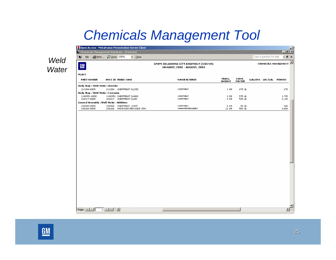| Weld  |
|-------|
| Water |

Open Access - MetaFrame Presentation Server Client

 $\blacktriangleright$   $\mid$  Close

Chemicals Management Database - [Custom]

: ● File | A Print... | ○ Zoom 100%

Page:  $\boxed{H \times \boxed{1}$   $\boxed{1}$   $\boxed{1}$   $\boxed{1}$   $\boxed{1}$ 

| $\underline{\mathsf{GM}}$                 |        |                          | GMYM OKLAHOMA CITY ASSEMBLY (550749)<br><b>JANUARY, 2005 - AUGUST, 2005</b> |                         |                        |                 | <b>CHEMICALS MANAGEMENT</b> |
|-------------------------------------------|--------|--------------------------|-----------------------------------------------------------------------------|-------------------------|------------------------|-----------------|-----------------------------|
| <b>PLANT</b>                              |        |                          |                                                                             |                         |                        |                 |                             |
| <b>PART NUMBER</b>                        |        | HMCS ID TRADE NAME       | <b>MANUFACTURER</b>                                                         | TRANS.<br><b>AMOUNT</b> | CONV.<br><b>FACTOR</b> | GALLONS LBS/GAL | <b>POUNDS</b>               |
| <b>Body Shop : Weld Water : Biocides</b>  |        |                          |                                                                             |                         |                        |                 |                             |
| 211084-00DR                               | 211084 | CHEMTREAT CL2150         | CHEMTREAT                                                                   | 1 DR.                   | 475 LB                 |                 | 475                         |
| Body Shop : Weld Water : Corrosion        |        |                          |                                                                             |                         |                        |                 |                             |
| 1180951-00DR                              |        | 1180951 CHEMTREAT CL4882 | CHEMTREAT                                                                   | 3 DR                    | 575 LB                 |                 | 1,725                       |
| 224417-00DR                               | 224417 | CHEMTREAT CL280          | CHEMTREAT                                                                   | 4 DR                    | 535 LB                 |                 | 2.140                       |
| General Assembly : Weld Water : Additives |        |                          |                                                                             |                         |                        |                 |                             |
| 183506-00PA                               | 183506 | CHEMTREAT 2189T          | CHEMTREAT                                                                   | 6 PA                    | 50 LB                  |                 | 300                         |
| 236266-00DR                               | 236266 | HYDROGEN PER OXIDE 35%   | VANWATER S&ROGERS                                                           | 12 DR                   | 500 LB                 |                 | 6.000                       |

GMVM OKLAHOMA CITY ASSEMBLY (550749)



 $\blacktriangleright$ 

 $-16$ 

 $-I$ alxi

 $-5x$ 

Type a question for help

CHEMICALS MANAGEMENT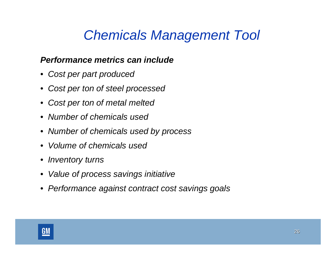#### *Performance metrics can include*

- *Cost per part produced*
- •*Cost per ton of steel processed*
- •*Cost per ton of metal melted*
- *Number of chemicals used*
- *Number of chemicals used by process*
- *Volume of chemicals used*
- *Inventory turns*
- •*Value of process savings initiative*
- *Performance against contract cost savings goals*

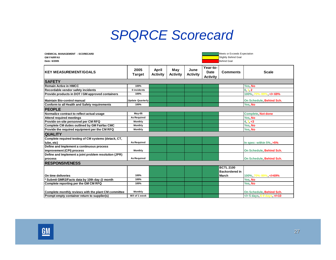### *SPQRCE Scorecard*

| <b>CHEMICAL MANAGEMENT - SCORECARD</b><br><b>GM FAIRFAX</b><br>Date: 6/2005 |                         |                          |                        |                         | Meets or Exceeds Expectation<br>Slightly Behind Goal<br><b>Behind Goal</b> |                                           |                                     |  |
|-----------------------------------------------------------------------------|-------------------------|--------------------------|------------------------|-------------------------|----------------------------------------------------------------------------|-------------------------------------------|-------------------------------------|--|
| <b>KEY MEASUREMENT/GOALS</b>                                                | 2005<br><b>Target</b>   | April<br><b>Activity</b> | May<br><b>Activity</b> | June<br><b>Activity</b> | Year-to-<br><b>Date</b><br><b>Activity</b>                                 | <b>Comments</b>                           | <b>Scale</b>                        |  |
| <b>SAFETY</b>                                                               |                         |                          |                        |                         |                                                                            |                                           |                                     |  |
| <b>Remain Active in HMCC</b>                                                | 100%                    |                          |                        |                         |                                                                            |                                           | Yes, No                             |  |
| Recordable vendor safety incidents                                          | 0 incidents             |                          |                        |                         |                                                                            |                                           | 0, 1, 2                             |  |
| Provide products in DOT / GM approved containers                            | 100%                    |                          |                        |                         |                                                                            |                                           | $100\%$ , $70\%$ -99%, $\leq$ = 69% |  |
| Maintain Bio-control manual                                                 | <b>Update Quarterly</b> |                          |                        |                         |                                                                            |                                           | On Schedule, Behind Sch.            |  |
| Conform to all Health and Safety requirements                               | 100%                    |                          |                        |                         |                                                                            |                                           | Yes, No                             |  |
| <b>PEOPLE</b>                                                               |                         |                          |                        |                         |                                                                            |                                           |                                     |  |
| Normalize contract to reflect actual usage                                  | $May-05$                |                          |                        |                         |                                                                            |                                           | Complete, Not done                  |  |
| <b>Attend required meetings</b>                                             | <b>As Required</b>      |                          |                        |                         |                                                                            |                                           | Yes, No                             |  |
| Provide on-site personnel per CM RFQ                                        | Monthly                 |                          |                        |                         |                                                                            |                                           | 4, 3, <3                            |  |
| Complete CM duties outlined by GM Fairfax CMC                               | Monthly                 |                          |                        |                         |                                                                            |                                           | Yes, No                             |  |
| Provide the required equipment per the CM RFQ                               | Monthly                 |                          |                        |                         |                                                                            |                                           | Yes, No                             |  |
| <b>QUALITY</b>                                                              |                         |                          |                        |                         |                                                                            |                                           |                                     |  |
| Complete required testing of CM systems (detack, CT,<br>lube, etc)          | <b>As Required</b>      |                          |                        |                         |                                                                            |                                           | In spec: within 5%, >5%             |  |
| Define and Implement a continuous process<br>improvement (CPI) process      | Monthly                 |                          |                        |                         |                                                                            |                                           | On Schedule, Behind Sch.            |  |
| Define and Implement a joint problem resolution (JPR)<br>process            | <b>As Required</b>      |                          |                        |                         |                                                                            |                                           | On Schedule, Behind Sch.            |  |
| <b>IRESPONSIVENESS</b>                                                      |                         |                          |                        |                         |                                                                            |                                           |                                     |  |
|                                                                             |                         |                          |                        |                         |                                                                            | <b>BCTL 2100</b><br><b>Backordered in</b> |                                     |  |
| On time deliveries                                                          | 100%                    |                          |                        |                         |                                                                            | March                                     | 100%, 70%-99%, =69%</td             |  |
| Submit GMR2/Facts data by 10th day @ month                                  | 100%                    |                          |                        |                         |                                                                            |                                           | Yes, No                             |  |
| Complete reporting per the GM CM RFQ                                        | 100%                    |                          |                        |                         |                                                                            |                                           | Yes, No                             |  |
| Complete monthly reviews with the plant CM committee                        | Monthly                 |                          |                        |                         |                                                                            |                                           | On Schedule, Behind Sch.            |  |
| Prompt empty container return to supplier(s)                                | W/I of 1 week           |                          |                        |                         |                                                                            |                                           | = 5 days, 6-9 days, /=10            |  |